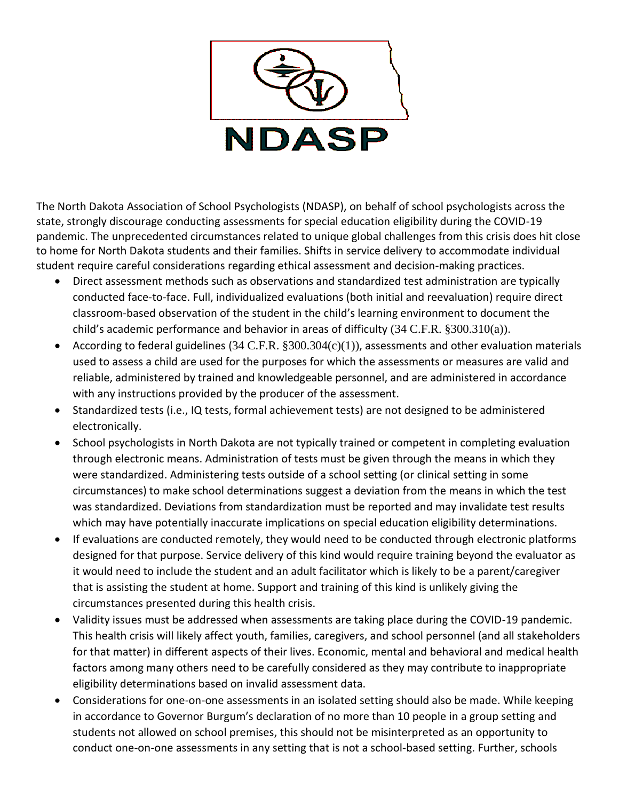

The North Dakota Association of School Psychologists (NDASP), on behalf of school psychologists across the state, strongly discourage conducting assessments for special education eligibility during the COVID-19 pandemic. The unprecedented circumstances related to unique global challenges from this crisis does hit close to home for North Dakota students and their families. Shifts in service delivery to accommodate individual student require careful considerations regarding ethical assessment and decision-making practices.

- Direct assessment methods such as observations and standardized test administration are typically conducted face-to-face. Full, individualized evaluations (both initial and reevaluation) require direct classroom-based observation of the student in the child's learning environment to document the child's academic performance and behavior in areas of difficulty  $(34 \text{ C.F.R. } §300.310(a))$ .
- According to federal guidelines (34 C.F.R.  $§300.304(c)(1)$ ), assessments and other evaluation materials used to assess a child are used for the purposes for which the assessments or measures are valid and reliable, administered by trained and knowledgeable personnel, and are administered in accordance with any instructions provided by the producer of the assessment.
- Standardized tests (i.e., IQ tests, formal achievement tests) are not designed to be administered electronically.
- School psychologists in North Dakota are not typically trained or competent in completing evaluation through electronic means. Administration of tests must be given through the means in which they were standardized. Administering tests outside of a school setting (or clinical setting in some circumstances) to make school determinations suggest a deviation from the means in which the test was standardized. Deviations from standardization must be reported and may invalidate test results which may have potentially inaccurate implications on special education eligibility determinations.
- If evaluations are conducted remotely, they would need to be conducted through electronic platforms designed for that purpose. Service delivery of this kind would require training beyond the evaluator as it would need to include the student and an adult facilitator which is likely to be a parent/caregiver that is assisting the student at home. Support and training of this kind is unlikely giving the circumstances presented during this health crisis.
- Validity issues must be addressed when assessments are taking place during the COVID-19 pandemic. This health crisis will likely affect youth, families, caregivers, and school personnel (and all stakeholders for that matter) in different aspects of their lives. Economic, mental and behavioral and medical health factors among many others need to be carefully considered as they may contribute to inappropriate eligibility determinations based on invalid assessment data.
- Considerations for one-on-one assessments in an isolated setting should also be made. While keeping in accordance to Governor Burgum's declaration of no more than 10 people in a group setting and students not allowed on school premises, this should not be misinterpreted as an opportunity to conduct one-on-one assessments in any setting that is not a school-based setting. Further, schools